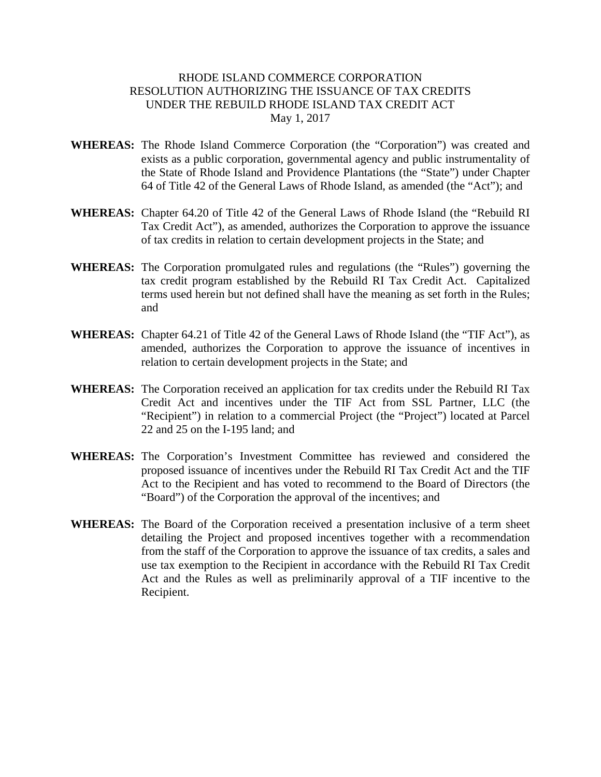## RHODE ISLAND COMMERCE CORPORATION RESOLUTION AUTHORIZING THE ISSUANCE OF TAX CREDITS UNDER THE REBUILD RHODE ISLAND TAX CREDIT ACT May 1, 2017

- **WHEREAS:** The Rhode Island Commerce Corporation (the "Corporation") was created and exists as a public corporation, governmental agency and public instrumentality of the State of Rhode Island and Providence Plantations (the "State") under Chapter 64 of Title 42 of the General Laws of Rhode Island, as amended (the "Act"); and
- **WHEREAS:** Chapter 64.20 of Title 42 of the General Laws of Rhode Island (the "Rebuild RI Tax Credit Act"), as amended, authorizes the Corporation to approve the issuance of tax credits in relation to certain development projects in the State; and
- **WHEREAS:** The Corporation promulgated rules and regulations (the "Rules") governing the tax credit program established by the Rebuild RI Tax Credit Act. Capitalized terms used herein but not defined shall have the meaning as set forth in the Rules; and
- **WHEREAS:** Chapter 64.21 of Title 42 of the General Laws of Rhode Island (the "TIF Act"), as amended, authorizes the Corporation to approve the issuance of incentives in relation to certain development projects in the State; and
- **WHEREAS:** The Corporation received an application for tax credits under the Rebuild RI Tax Credit Act and incentives under the TIF Act from SSL Partner, LLC (the "Recipient") in relation to a commercial Project (the "Project") located at Parcel 22 and 25 on the I-195 land; and
- **WHEREAS:** The Corporation's Investment Committee has reviewed and considered the proposed issuance of incentives under the Rebuild RI Tax Credit Act and the TIF Act to the Recipient and has voted to recommend to the Board of Directors (the "Board") of the Corporation the approval of the incentives; and
- **WHEREAS:** The Board of the Corporation received a presentation inclusive of a term sheet detailing the Project and proposed incentives together with a recommendation from the staff of the Corporation to approve the issuance of tax credits, a sales and use tax exemption to the Recipient in accordance with the Rebuild RI Tax Credit Act and the Rules as well as preliminarily approval of a TIF incentive to the Recipient.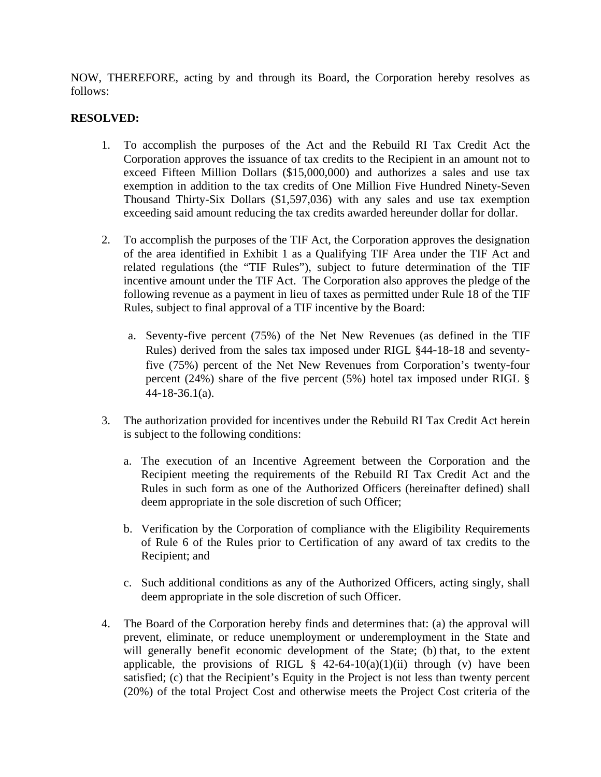NOW, THEREFORE, acting by and through its Board, the Corporation hereby resolves as follows:

## **RESOLVED:**

- 1. To accomplish the purposes of the Act and the Rebuild RI Tax Credit Act the Corporation approves the issuance of tax credits to the Recipient in an amount not to exceed Fifteen Million Dollars (\$15,000,000) and authorizes a sales and use tax exemption in addition to the tax credits of One Million Five Hundred Ninety-Seven Thousand Thirty-Six Dollars (\$1,597,036) with any sales and use tax exemption exceeding said amount reducing the tax credits awarded hereunder dollar for dollar.
- 2. To accomplish the purposes of the TIF Act, the Corporation approves the designation of the area identified in Exhibit 1 as a Qualifying TIF Area under the TIF Act and related regulations (the "TIF Rules"), subject to future determination of the TIF incentive amount under the TIF Act. The Corporation also approves the pledge of the following revenue as a payment in lieu of taxes as permitted under Rule 18 of the TIF Rules, subject to final approval of a TIF incentive by the Board:
	- a. Seventy-five percent (75%) of the Net New Revenues (as defined in the TIF Rules) derived from the sales tax imposed under RIGL §44-18-18 and seventyfive (75%) percent of the Net New Revenues from Corporation's twenty-four percent (24%) share of the five percent (5%) hotel tax imposed under RIGL  $\S$ 44-18-36.1(a).
- 3. The authorization provided for incentives under the Rebuild RI Tax Credit Act herein is subject to the following conditions:
	- a. The execution of an Incentive Agreement between the Corporation and the Recipient meeting the requirements of the Rebuild RI Tax Credit Act and the Rules in such form as one of the Authorized Officers (hereinafter defined) shall deem appropriate in the sole discretion of such Officer;
	- b. Verification by the Corporation of compliance with the Eligibility Requirements of Rule 6 of the Rules prior to Certification of any award of tax credits to the Recipient; and
	- c. Such additional conditions as any of the Authorized Officers, acting singly, shall deem appropriate in the sole discretion of such Officer.
- 4. The Board of the Corporation hereby finds and determines that: (a) the approval will prevent, eliminate, or reduce unemployment or underemployment in the State and will generally benefit economic development of the State; (b) that, to the extent applicable, the provisions of RIGL  $\S$  42-64-10(a)(1)(ii) through (v) have been satisfied; (c) that the Recipient's Equity in the Project is not less than twenty percent (20%) of the total Project Cost and otherwise meets the Project Cost criteria of the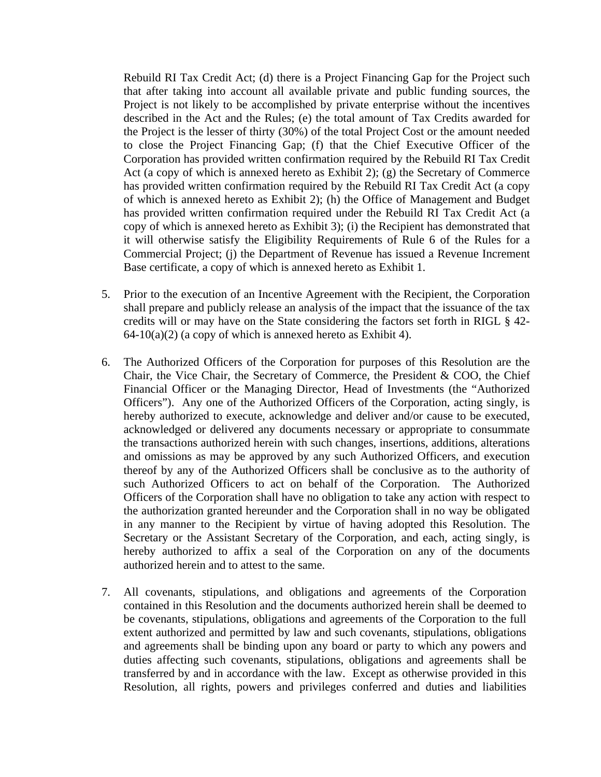Rebuild RI Tax Credit Act; (d) there is a Project Financing Gap for the Project such that after taking into account all available private and public funding sources, the Project is not likely to be accomplished by private enterprise without the incentives described in the Act and the Rules; (e) the total amount of Tax Credits awarded for the Project is the lesser of thirty (30%) of the total Project Cost or the amount needed to close the Project Financing Gap; (f) that the Chief Executive Officer of the Corporation has provided written confirmation required by the Rebuild RI Tax Credit Act (a copy of which is annexed hereto as Exhibit 2); (g) the Secretary of Commerce has provided written confirmation required by the Rebuild RI Tax Credit Act (a copy of which is annexed hereto as Exhibit 2); (h) the Office of Management and Budget has provided written confirmation required under the Rebuild RI Tax Credit Act (a copy of which is annexed hereto as Exhibit 3); (i) the Recipient has demonstrated that it will otherwise satisfy the Eligibility Requirements of Rule 6 of the Rules for a Commercial Project; (j) the Department of Revenue has issued a Revenue Increment Base certificate, a copy of which is annexed hereto as Exhibit 1.

- 5. Prior to the execution of an Incentive Agreement with the Recipient, the Corporation shall prepare and publicly release an analysis of the impact that the issuance of the tax credits will or may have on the State considering the factors set forth in RIGL § 42-  $64-10(a)(2)$  (a copy of which is annexed hereto as Exhibit 4).
- 6. The Authorized Officers of the Corporation for purposes of this Resolution are the Chair, the Vice Chair, the Secretary of Commerce, the President & COO, the Chief Financial Officer or the Managing Director, Head of Investments (the "Authorized Officers"). Any one of the Authorized Officers of the Corporation, acting singly, is hereby authorized to execute, acknowledge and deliver and/or cause to be executed, acknowledged or delivered any documents necessary or appropriate to consummate the transactions authorized herein with such changes, insertions, additions, alterations and omissions as may be approved by any such Authorized Officers, and execution thereof by any of the Authorized Officers shall be conclusive as to the authority of such Authorized Officers to act on behalf of the Corporation. The Authorized Officers of the Corporation shall have no obligation to take any action with respect to the authorization granted hereunder and the Corporation shall in no way be obligated in any manner to the Recipient by virtue of having adopted this Resolution. The Secretary or the Assistant Secretary of the Corporation, and each, acting singly, is hereby authorized to affix a seal of the Corporation on any of the documents authorized herein and to attest to the same.
- 7. All covenants, stipulations, and obligations and agreements of the Corporation contained in this Resolution and the documents authorized herein shall be deemed to be covenants, stipulations, obligations and agreements of the Corporation to the full extent authorized and permitted by law and such covenants, stipulations, obligations and agreements shall be binding upon any board or party to which any powers and duties affecting such covenants, stipulations, obligations and agreements shall be transferred by and in accordance with the law. Except as otherwise provided in this Resolution, all rights, powers and privileges conferred and duties and liabilities